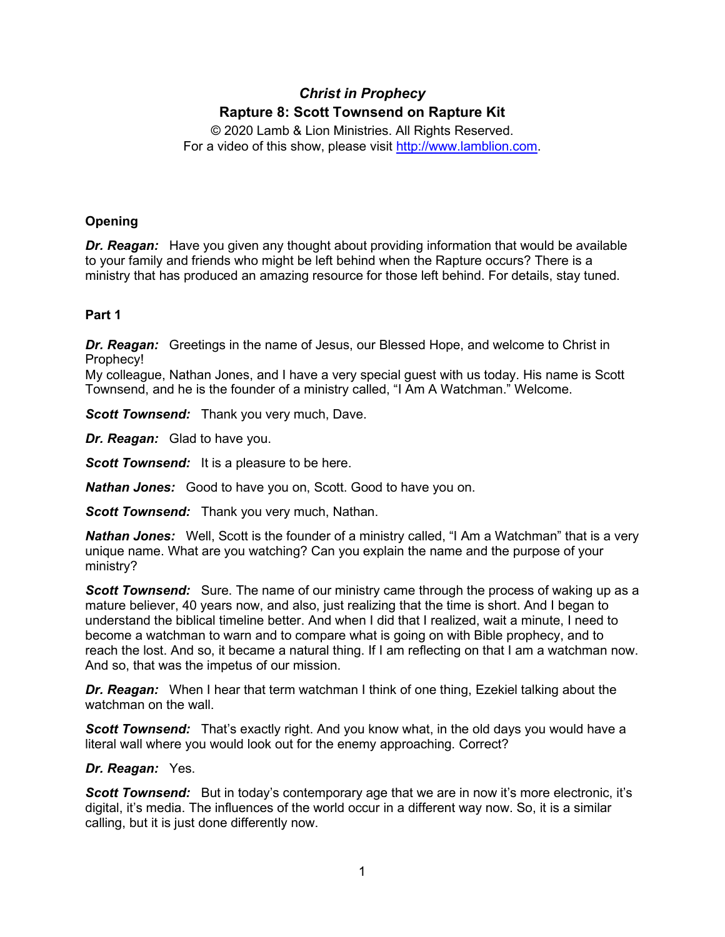# *Christ in Prophecy* **Rapture 8: Scott Townsend on Rapture Kit**

© 2020 Lamb & Lion Ministries. All Rights Reserved. For a video of this show, please visit [http://www.lamblion.com.](http://www.lamblion.com/)

# **Opening**

*Dr. Reagan:* Have you given any thought about providing information that would be available to your family and friends who might be left behind when the Rapture occurs? There is a ministry that has produced an amazing resource for those left behind. For details, stay tuned.

# **Part 1**

*Dr. Reagan:* Greetings in the name of Jesus, our Blessed Hope, and welcome to Christ in Prophecy!

My colleague, Nathan Jones, and I have a very special guest with us today. His name is Scott Townsend, and he is the founder of a ministry called, "I Am A Watchman." Welcome.

*Scott Townsend:* Thank you very much, Dave.

*Dr. Reagan:* Glad to have you.

**Scott Townsend:** It is a pleasure to be here.

*Nathan Jones:* Good to have you on, Scott. Good to have you on.

*Scott Townsend:* Thank you very much, Nathan.

*Nathan Jones:* Well, Scott is the founder of a ministry called, "I Am a Watchman" that is a very unique name. What are you watching? Can you explain the name and the purpose of your ministry?

*Scott Townsend:* Sure. The name of our ministry came through the process of waking up as a mature believer, 40 years now, and also, just realizing that the time is short. And I began to understand the biblical timeline better. And when I did that I realized, wait a minute, I need to become a watchman to warn and to compare what is going on with Bible prophecy, and to reach the lost. And so, it became a natural thing. If I am reflecting on that I am a watchman now. And so, that was the impetus of our mission.

*Dr. Reagan:* When I hear that term watchman I think of one thing, Ezekiel talking about the watchman on the wall.

**Scott Townsend:** That's exactly right. And you know what, in the old days you would have a literal wall where you would look out for the enemy approaching. Correct?

# *Dr. Reagan:* Yes.

**Scott Townsend:** But in today's contemporary age that we are in now it's more electronic, it's digital, it's media. The influences of the world occur in a different way now. So, it is a similar calling, but it is just done differently now.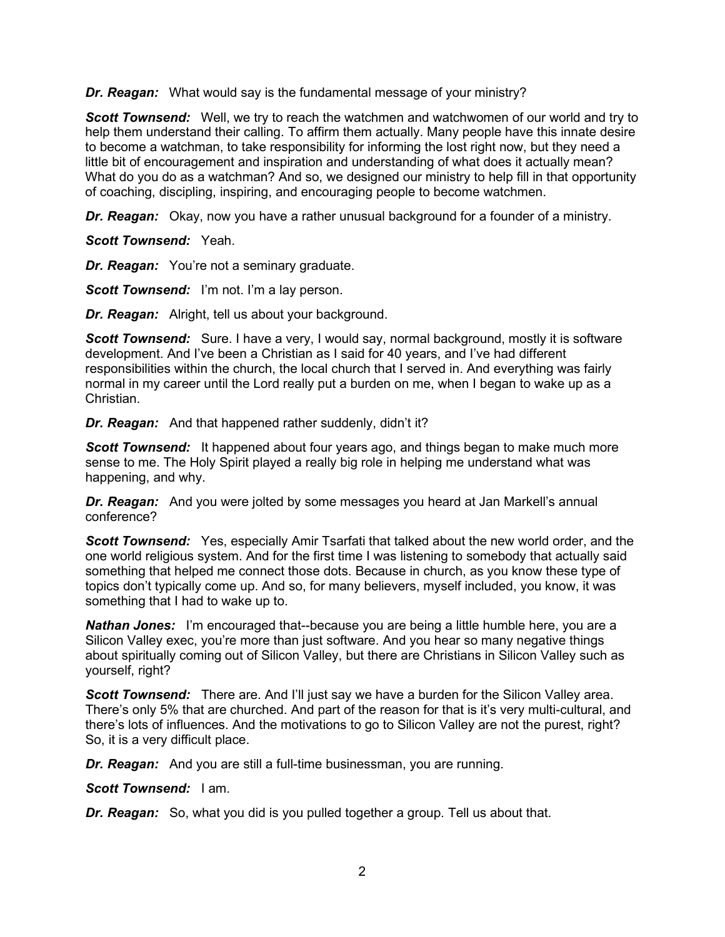*Dr. Reagan:* What would say is the fundamental message of your ministry?

*Scott Townsend:* Well, we try to reach the watchmen and watchwomen of our world and try to help them understand their calling. To affirm them actually. Many people have this innate desire to become a watchman, to take responsibility for informing the lost right now, but they need a little bit of encouragement and inspiration and understanding of what does it actually mean? What do you do as a watchman? And so, we designed our ministry to help fill in that opportunity of coaching, discipling, inspiring, and encouraging people to become watchmen.

*Dr. Reagan:* Okay, now you have a rather unusual background for a founder of a ministry.

*Scott Townsend:* Yeah.

*Dr. Reagan:* You're not a seminary graduate.

*Scott Townsend:* I'm not. I'm a lay person.

*Dr. Reagan:* Alright, tell us about your background.

**Scott Townsend:** Sure. I have a very, I would say, normal background, mostly it is software development. And I've been a Christian as I said for 40 years, and I've had different responsibilities within the church, the local church that I served in. And everything was fairly normal in my career until the Lord really put a burden on me, when I began to wake up as a Christian.

*Dr. Reagan:* And that happened rather suddenly, didn't it?

**Scott Townsend:** It happened about four years ago, and things began to make much more sense to me. The Holy Spirit played a really big role in helping me understand what was happening, and why.

*Dr. Reagan:* And you were jolted by some messages you heard at Jan Markell's annual conference?

**Scott Townsend:** Yes, especially Amir Tsarfati that talked about the new world order, and the one world religious system. And for the first time I was listening to somebody that actually said something that helped me connect those dots. Because in church, as you know these type of topics don't typically come up. And so, for many believers, myself included, you know, it was something that I had to wake up to.

*Nathan Jones:* I'm encouraged that--because you are being a little humble here, you are a Silicon Valley exec, you're more than just software. And you hear so many negative things about spiritually coming out of Silicon Valley, but there are Christians in Silicon Valley such as yourself, right?

**Scott Townsend:** There are. And I'll just say we have a burden for the Silicon Valley area. There's only 5% that are churched. And part of the reason for that is it's very multi-cultural, and there's lots of influences. And the motivations to go to Silicon Valley are not the purest, right? So, it is a very difficult place.

*Dr. Reagan:* And you are still a full-time businessman, you are running.

*Scott Townsend:* I am.

*Dr. Reagan:* So, what you did is you pulled together a group. Tell us about that.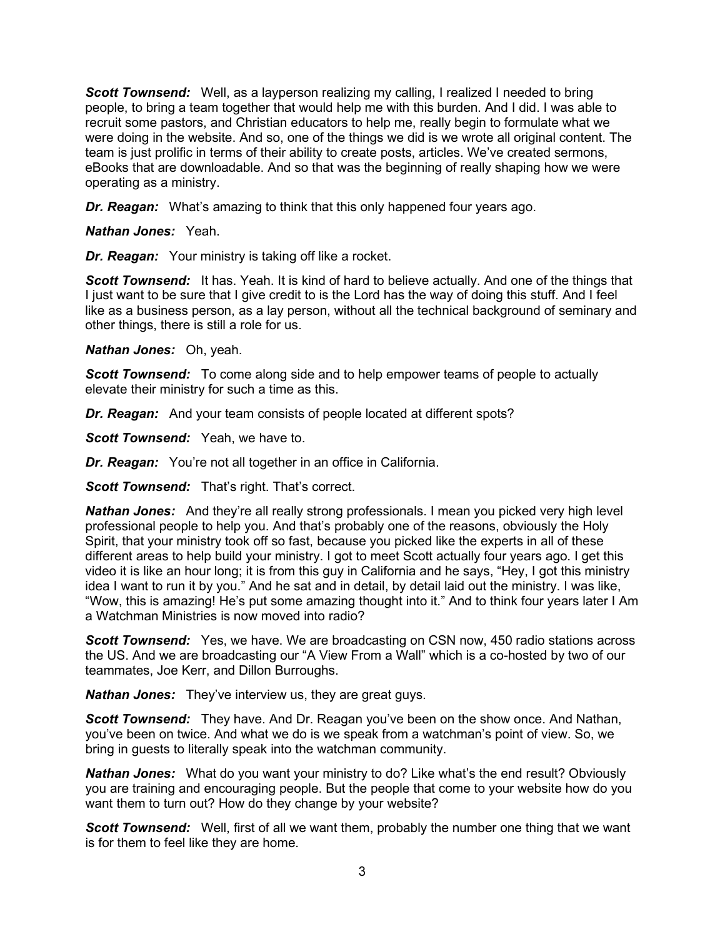**Scott Townsend:** Well, as a layperson realizing my calling, I realized I needed to bring people, to bring a team together that would help me with this burden. And I did. I was able to recruit some pastors, and Christian educators to help me, really begin to formulate what we were doing in the website. And so, one of the things we did is we wrote all original content. The team is just prolific in terms of their ability to create posts, articles. We've created sermons, eBooks that are downloadable. And so that was the beginning of really shaping how we were operating as a ministry.

*Dr. Reagan:* What's amazing to think that this only happened four years ago.

## *Nathan Jones:* Yeah.

*Dr. Reagan:* Your ministry is taking off like a rocket.

**Scott Townsend:** It has. Yeah. It is kind of hard to believe actually. And one of the things that I just want to be sure that I give credit to is the Lord has the way of doing this stuff. And I feel like as a business person, as a lay person, without all the technical background of seminary and other things, there is still a role for us.

## *Nathan Jones:* Oh, yeah.

*Scott Townsend:* To come along side and to help empower teams of people to actually elevate their ministry for such a time as this.

*Dr. Reagan:* And your team consists of people located at different spots?

*Scott Townsend:* Yeah, we have to.

*Dr. Reagan:* You're not all together in an office in California.

**Scott Townsend:** That's right. That's correct.

*Nathan Jones:* And they're all really strong professionals. I mean you picked very high level professional people to help you. And that's probably one of the reasons, obviously the Holy Spirit, that your ministry took off so fast, because you picked like the experts in all of these different areas to help build your ministry. I got to meet Scott actually four years ago. I get this video it is like an hour long; it is from this guy in California and he says, "Hey, I got this ministry idea I want to run it by you." And he sat and in detail, by detail laid out the ministry. I was like, "Wow, this is amazing! He's put some amazing thought into it." And to think four years later I Am a Watchman Ministries is now moved into radio?

**Scott Townsend:** Yes, we have. We are broadcasting on CSN now, 450 radio stations across the US. And we are broadcasting our "A View From a Wall" which is a co-hosted by two of our teammates, Joe Kerr, and Dillon Burroughs.

*Nathan Jones:* They've interview us, they are great guys.

*Scott Townsend:* They have. And Dr. Reagan you've been on the show once. And Nathan, you've been on twice. And what we do is we speak from a watchman's point of view. So, we bring in guests to literally speak into the watchman community.

*Nathan Jones:* What do you want your ministry to do? Like what's the end result? Obviously you are training and encouraging people. But the people that come to your website how do you want them to turn out? How do they change by your website?

*Scott Townsend:* Well, first of all we want them, probably the number one thing that we want is for them to feel like they are home.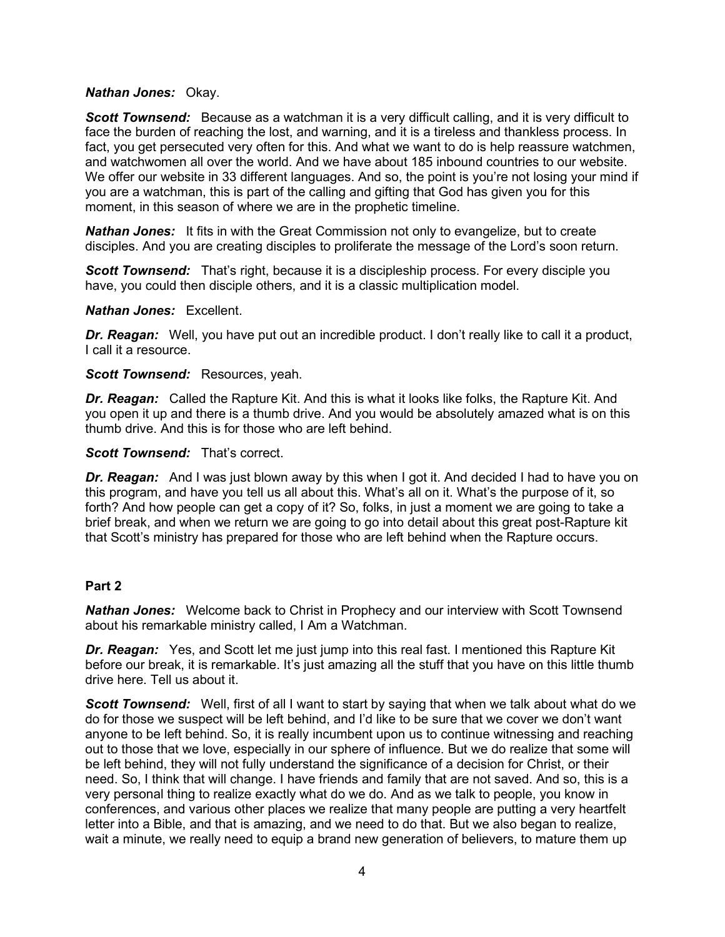## *Nathan Jones:* Okay.

**Scott Townsend:** Because as a watchman it is a very difficult calling, and it is very difficult to face the burden of reaching the lost, and warning, and it is a tireless and thankless process. In fact, you get persecuted very often for this. And what we want to do is help reassure watchmen, and watchwomen all over the world. And we have about 185 inbound countries to our website. We offer our website in 33 different languages. And so, the point is you're not losing your mind if you are a watchman, this is part of the calling and gifting that God has given you for this moment, in this season of where we are in the prophetic timeline.

*Nathan Jones:* It fits in with the Great Commission not only to evangelize, but to create disciples. And you are creating disciples to proliferate the message of the Lord's soon return.

**Scott Townsend:** That's right, because it is a discipleship process. For every disciple you have, you could then disciple others, and it is a classic multiplication model.

#### *Nathan Jones:* Excellent.

*Dr. Reagan:* Well, you have put out an incredible product. I don't really like to call it a product, I call it a resource.

## *Scott Townsend:* Resources, yeah.

*Dr. Reagan:* Called the Rapture Kit. And this is what it looks like folks, the Rapture Kit. And you open it up and there is a thumb drive. And you would be absolutely amazed what is on this thumb drive. And this is for those who are left behind.

## *Scott Townsend:* That's correct.

*Dr. Reagan:* And I was just blown away by this when I got it. And decided I had to have you on this program, and have you tell us all about this. What's all on it. What's the purpose of it, so forth? And how people can get a copy of it? So, folks, in just a moment we are going to take a brief break, and when we return we are going to go into detail about this great post-Rapture kit that Scott's ministry has prepared for those who are left behind when the Rapture occurs.

# **Part 2**

*Nathan Jones:* Welcome back to Christ in Prophecy and our interview with Scott Townsend about his remarkable ministry called, I Am a Watchman.

*Dr. Reagan:* Yes, and Scott let me just jump into this real fast. I mentioned this Rapture Kit before our break, it is remarkable. It's just amazing all the stuff that you have on this little thumb drive here. Tell us about it.

**Scott Townsend:** Well, first of all I want to start by saying that when we talk about what do we do for those we suspect will be left behind, and I'd like to be sure that we cover we don't want anyone to be left behind. So, it is really incumbent upon us to continue witnessing and reaching out to those that we love, especially in our sphere of influence. But we do realize that some will be left behind, they will not fully understand the significance of a decision for Christ, or their need. So, I think that will change. I have friends and family that are not saved. And so, this is a very personal thing to realize exactly what do we do. And as we talk to people, you know in conferences, and various other places we realize that many people are putting a very heartfelt letter into a Bible, and that is amazing, and we need to do that. But we also began to realize, wait a minute, we really need to equip a brand new generation of believers, to mature them up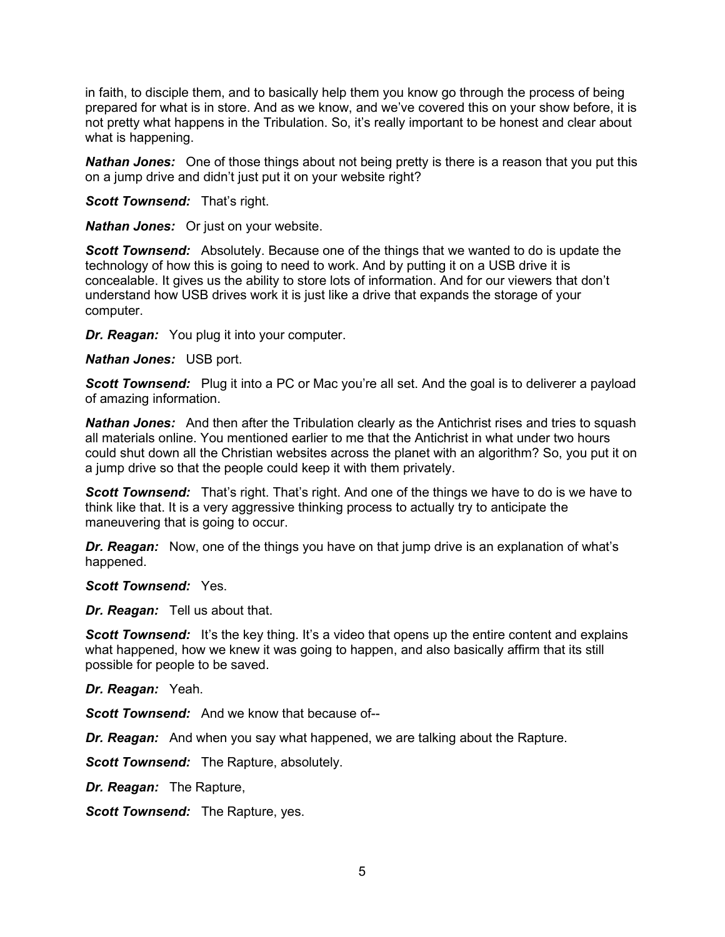in faith, to disciple them, and to basically help them you know go through the process of being prepared for what is in store. And as we know, and we've covered this on your show before, it is not pretty what happens in the Tribulation. So, it's really important to be honest and clear about what is happening.

*Nathan Jones:* One of those things about not being pretty is there is a reason that you put this on a jump drive and didn't just put it on your website right?

**Scott Townsend:** That's right.

*Nathan Jones:* Or just on your website.

*Scott Townsend:* Absolutely. Because one of the things that we wanted to do is update the technology of how this is going to need to work. And by putting it on a USB drive it is concealable. It gives us the ability to store lots of information. And for our viewers that don't understand how USB drives work it is just like a drive that expands the storage of your computer.

*Dr. Reagan:* You plug it into your computer.

*Nathan Jones:* USB port.

**Scott Townsend:** Plug it into a PC or Mac you're all set. And the goal is to deliverer a payload of amazing information.

**Nathan Jones:** And then after the Tribulation clearly as the Antichrist rises and tries to squash all materials online. You mentioned earlier to me that the Antichrist in what under two hours could shut down all the Christian websites across the planet with an algorithm? So, you put it on a jump drive so that the people could keep it with them privately.

**Scott Townsend:** That's right. That's right. And one of the things we have to do is we have to think like that. It is a very aggressive thinking process to actually try to anticipate the maneuvering that is going to occur.

*Dr. Reagan:* Now, one of the things you have on that jump drive is an explanation of what's happened.

*Scott Townsend:* Yes.

*Dr. Reagan:* Tell us about that.

**Scott Townsend:** It's the key thing. It's a video that opens up the entire content and explains what happened, how we knew it was going to happen, and also basically affirm that its still possible for people to be saved.

*Dr. Reagan:* Yeah.

*Scott Townsend:* And we know that because of--

*Dr. Reagan:* And when you say what happened, we are talking about the Rapture.

**Scott Townsend:** The Rapture, absolutely.

*Dr. Reagan:* The Rapture,

*Scott Townsend:* The Rapture, yes.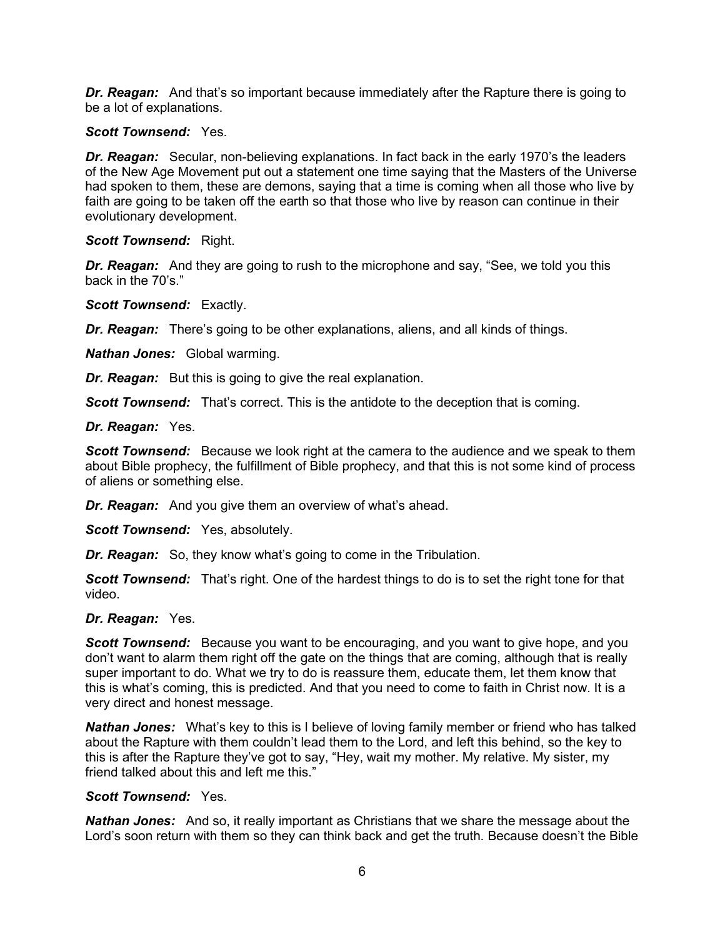*Dr. Reagan:* And that's so important because immediately after the Rapture there is going to be a lot of explanations.

#### *Scott Townsend:* Yes.

*Dr. Reagan:* Secular, non-believing explanations. In fact back in the early 1970's the leaders of the New Age Movement put out a statement one time saying that the Masters of the Universe had spoken to them, these are demons, saying that a time is coming when all those who live by faith are going to be taken off the earth so that those who live by reason can continue in their evolutionary development.

#### *Scott Townsend:* Right.

*Dr. Reagan:* And they are going to rush to the microphone and say, "See, we told you this back in the 70's."

*Scott Townsend:* Exactly.

*Dr. Reagan:* There's going to be other explanations, aliens, and all kinds of things.

*Nathan Jones:* Global warming.

*Dr. Reagan:* But this is going to give the real explanation.

**Scott Townsend:** That's correct. This is the antidote to the deception that is coming.

#### *Dr. Reagan:* Yes.

**Scott Townsend:** Because we look right at the camera to the audience and we speak to them about Bible prophecy, the fulfillment of Bible prophecy, and that this is not some kind of process of aliens or something else.

*Dr. Reagan:* And you give them an overview of what's ahead.

*Scott Townsend:* Yes, absolutely.

*Dr. Reagan:* So, they know what's going to come in the Tribulation.

**Scott Townsend:** That's right. One of the hardest things to do is to set the right tone for that video.

#### *Dr. Reagan:* Yes.

**Scott Townsend:** Because you want to be encouraging, and you want to give hope, and you don't want to alarm them right off the gate on the things that are coming, although that is really super important to do. What we try to do is reassure them, educate them, let them know that this is what's coming, this is predicted. And that you need to come to faith in Christ now. It is a very direct and honest message.

*Nathan Jones:* What's key to this is I believe of loving family member or friend who has talked about the Rapture with them couldn't lead them to the Lord, and left this behind, so the key to this is after the Rapture they've got to say, "Hey, wait my mother. My relative. My sister, my friend talked about this and left me this."

#### *Scott Townsend:* Yes.

*Nathan Jones:* And so, it really important as Christians that we share the message about the Lord's soon return with them so they can think back and get the truth. Because doesn't the Bible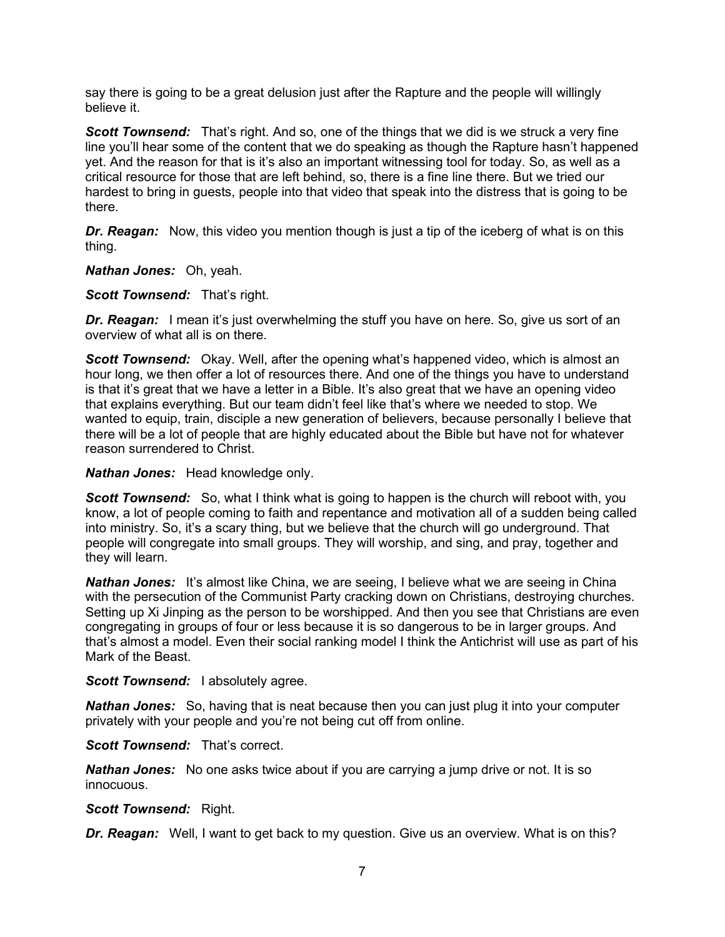say there is going to be a great delusion just after the Rapture and the people will willingly believe it.

**Scott Townsend:** That's right. And so, one of the things that we did is we struck a very fine line you'll hear some of the content that we do speaking as though the Rapture hasn't happened yet. And the reason for that is it's also an important witnessing tool for today. So, as well as a critical resource for those that are left behind, so, there is a fine line there. But we tried our hardest to bring in guests, people into that video that speak into the distress that is going to be there.

*Dr. Reagan:* Now, this video you mention though is just a tip of the iceberg of what is on this thing.

*Nathan Jones:* Oh, yeah.

**Scott Townsend:** That's right.

**Dr. Reagan:** I mean it's just overwhelming the stuff you have on here. So, give us sort of an overview of what all is on there.

*Scott Townsend:* Okay. Well, after the opening what's happened video, which is almost an hour long, we then offer a lot of resources there. And one of the things you have to understand is that it's great that we have a letter in a Bible. It's also great that we have an opening video that explains everything. But our team didn't feel like that's where we needed to stop. We wanted to equip, train, disciple a new generation of believers, because personally I believe that there will be a lot of people that are highly educated about the Bible but have not for whatever reason surrendered to Christ.

*Nathan Jones:* Head knowledge only.

**Scott Townsend:** So, what I think what is going to happen is the church will reboot with, you know, a lot of people coming to faith and repentance and motivation all of a sudden being called into ministry. So, it's a scary thing, but we believe that the church will go underground. That people will congregate into small groups. They will worship, and sing, and pray, together and they will learn.

*Nathan Jones:* It's almost like China, we are seeing, I believe what we are seeing in China with the persecution of the Communist Party cracking down on Christians, destroying churches. Setting up Xi Jinping as the person to be worshipped. And then you see that Christians are even congregating in groups of four or less because it is so dangerous to be in larger groups. And that's almost a model. Even their social ranking model I think the Antichrist will use as part of his Mark of the Beast.

*Scott Townsend:* I absolutely agree.

*Nathan Jones:* So, having that is neat because then you can just plug it into your computer privately with your people and you're not being cut off from online.

*Scott Townsend:* That's correct.

*Nathan Jones:* No one asks twice about if you are carrying a jump drive or not. It is so innocuous.

# *Scott Townsend:* Right.

**Dr. Reagan:** Well, I want to get back to my question. Give us an overview. What is on this?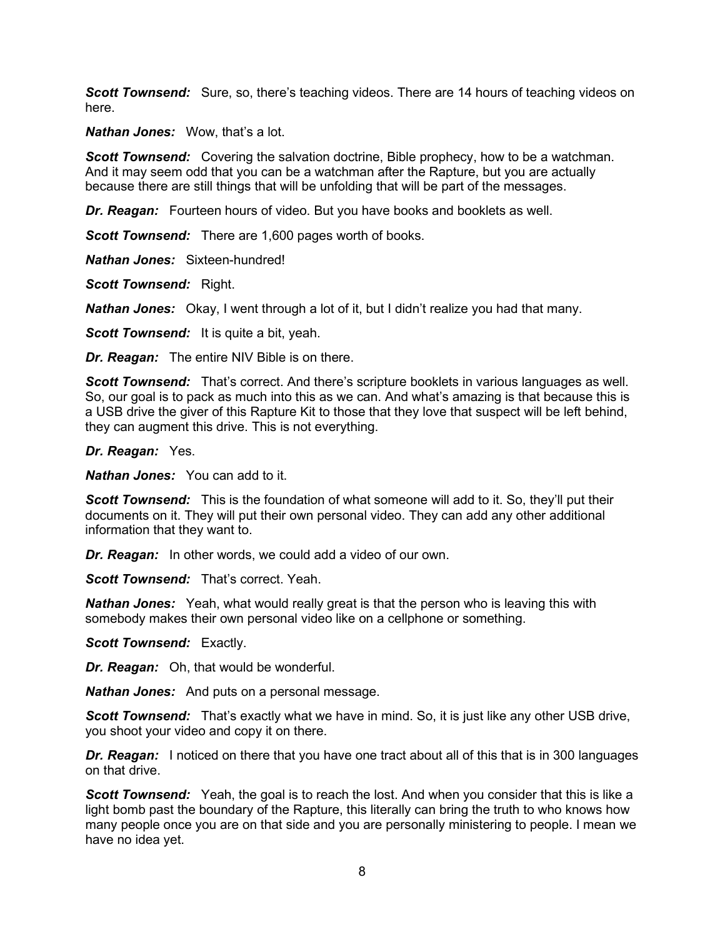**Scott Townsend:** Sure, so, there's teaching videos. There are 14 hours of teaching videos on here.

*Nathan Jones:* Wow, that's a lot.

**Scott Townsend:** Covering the salvation doctrine, Bible prophecy, how to be a watchman. And it may seem odd that you can be a watchman after the Rapture, but you are actually because there are still things that will be unfolding that will be part of the messages.

*Dr. Reagan:* Fourteen hours of video. But you have books and booklets as well.

*Scott Townsend:* There are 1,600 pages worth of books.

*Nathan Jones:* Sixteen-hundred!

*Scott Townsend:* Right.

*Nathan Jones:* Okay, I went through a lot of it, but I didn't realize you had that many.

**Scott Townsend:** It is quite a bit, yeah.

*Dr. Reagan:* The entire NIV Bible is on there.

**Scott Townsend:** That's correct. And there's scripture booklets in various languages as well. So, our goal is to pack as much into this as we can. And what's amazing is that because this is a USB drive the giver of this Rapture Kit to those that they love that suspect will be left behind, they can augment this drive. This is not everything.

*Dr. Reagan:* Yes.

*Nathan Jones:* You can add to it.

**Scott Townsend:** This is the foundation of what someone will add to it. So, they'll put their documents on it. They will put their own personal video. They can add any other additional information that they want to.

*Dr. Reagan:* In other words, we could add a video of our own.

**Scott Townsend:** That's correct. Yeah.

*Nathan Jones:* Yeah, what would really great is that the person who is leaving this with somebody makes their own personal video like on a cellphone or something.

*Scott Townsend:* Exactly.

*Dr. Reagan:* Oh, that would be wonderful.

*Nathan Jones:* And puts on a personal message.

**Scott Townsend:** That's exactly what we have in mind. So, it is just like any other USB drive, you shoot your video and copy it on there.

*Dr. Reagan:* I noticed on there that you have one tract about all of this that is in 300 languages on that drive.

**Scott Townsend:** Yeah, the goal is to reach the lost. And when you consider that this is like a light bomb past the boundary of the Rapture, this literally can bring the truth to who knows how many people once you are on that side and you are personally ministering to people. I mean we have no idea yet.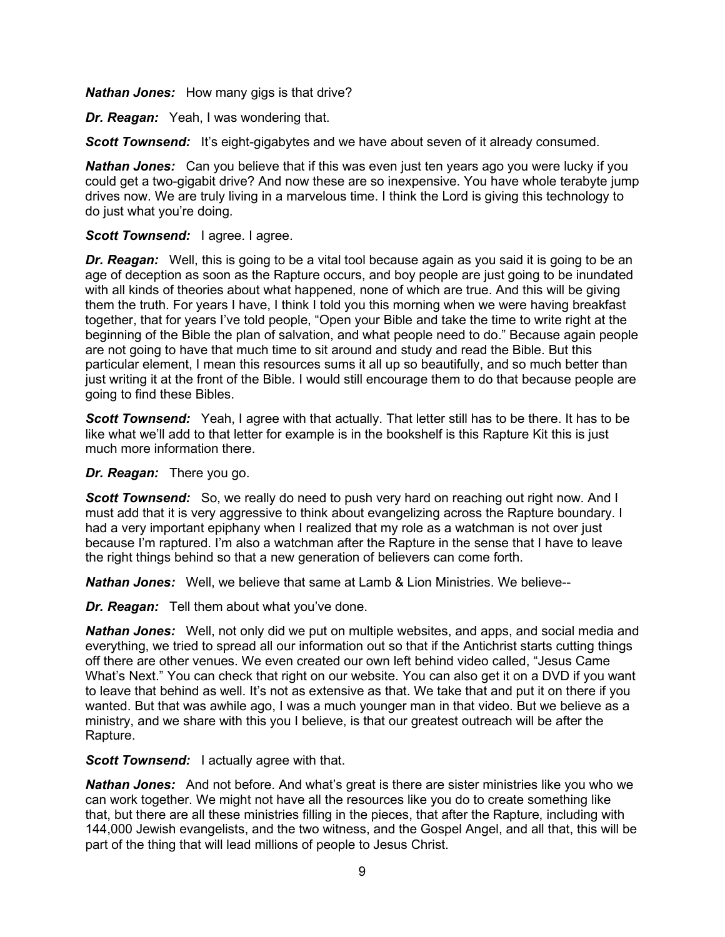*Nathan Jones:* How many gigs is that drive?

*Dr. Reagan:* Yeah, I was wondering that.

**Scott Townsend:** It's eight-gigabytes and we have about seven of it already consumed.

*Nathan Jones:* Can you believe that if this was even just ten years ago you were lucky if you could get a two-gigabit drive? And now these are so inexpensive. You have whole terabyte jump drives now. We are truly living in a marvelous time. I think the Lord is giving this technology to do just what you're doing.

## **Scott Townsend:** lagree. lagree.

**Dr. Reagan:** Well, this is going to be a vital tool because again as you said it is going to be an age of deception as soon as the Rapture occurs, and boy people are just going to be inundated with all kinds of theories about what happened, none of which are true. And this will be giving them the truth. For years I have, I think I told you this morning when we were having breakfast together, that for years I've told people, "Open your Bible and take the time to write right at the beginning of the Bible the plan of salvation, and what people need to do." Because again people are not going to have that much time to sit around and study and read the Bible. But this particular element, I mean this resources sums it all up so beautifully, and so much better than just writing it at the front of the Bible. I would still encourage them to do that because people are going to find these Bibles.

*Scott Townsend:* Yeah, I agree with that actually. That letter still has to be there. It has to be like what we'll add to that letter for example is in the bookshelf is this Rapture Kit this is just much more information there.

*Dr. Reagan:* There you go.

**Scott Townsend:** So, we really do need to push very hard on reaching out right now. And I must add that it is very aggressive to think about evangelizing across the Rapture boundary. I had a very important epiphany when I realized that my role as a watchman is not over just because I'm raptured. I'm also a watchman after the Rapture in the sense that I have to leave the right things behind so that a new generation of believers can come forth.

*Nathan Jones:* Well, we believe that same at Lamb & Lion Ministries. We believe--

*Dr. Reagan:* Tell them about what you've done.

*Nathan Jones:* Well, not only did we put on multiple websites, and apps, and social media and everything, we tried to spread all our information out so that if the Antichrist starts cutting things off there are other venues. We even created our own left behind video called, "Jesus Came What's Next." You can check that right on our website. You can also get it on a DVD if you want to leave that behind as well. It's not as extensive as that. We take that and put it on there if you wanted. But that was awhile ago, I was a much younger man in that video. But we believe as a ministry, and we share with this you I believe, is that our greatest outreach will be after the Rapture.

**Scott Townsend:** I actually agree with that.

*Nathan Jones:* And not before. And what's great is there are sister ministries like you who we can work together. We might not have all the resources like you do to create something like that, but there are all these ministries filling in the pieces, that after the Rapture, including with 144,000 Jewish evangelists, and the two witness, and the Gospel Angel, and all that, this will be part of the thing that will lead millions of people to Jesus Christ.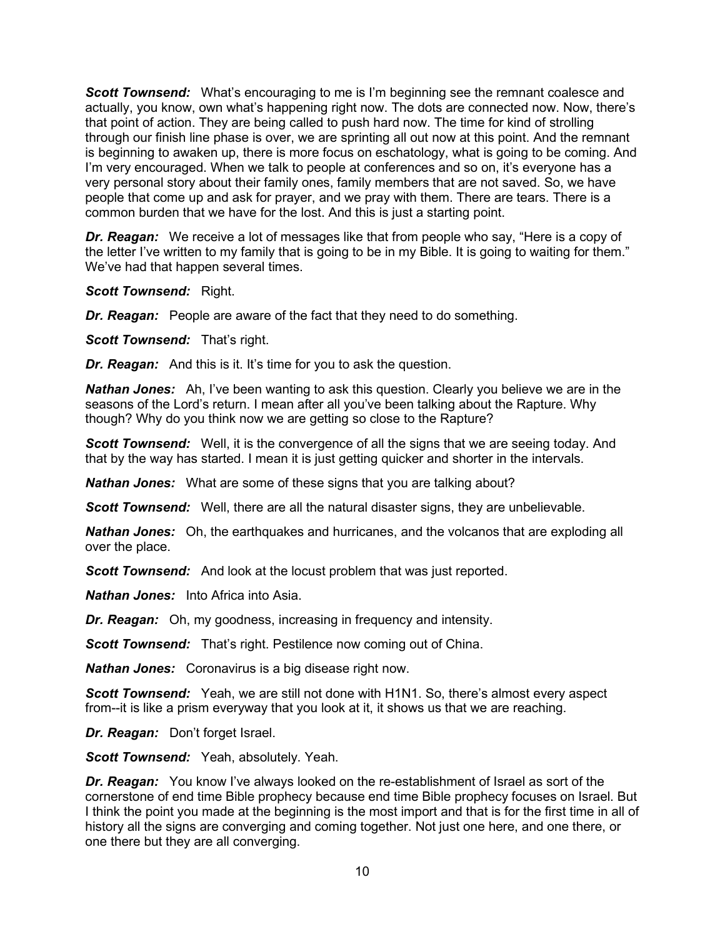**Scott Townsend:** What's encouraging to me is I'm beginning see the remnant coalesce and actually, you know, own what's happening right now. The dots are connected now. Now, there's that point of action. They are being called to push hard now. The time for kind of strolling through our finish line phase is over, we are sprinting all out now at this point. And the remnant is beginning to awaken up, there is more focus on eschatology, what is going to be coming. And I'm very encouraged. When we talk to people at conferences and so on, it's everyone has a very personal story about their family ones, family members that are not saved. So, we have people that come up and ask for prayer, and we pray with them. There are tears. There is a common burden that we have for the lost. And this is just a starting point.

*Dr. Reagan:* We receive a lot of messages like that from people who say, "Here is a copy of the letter I've written to my family that is going to be in my Bible. It is going to waiting for them." We've had that happen several times.

#### *Scott Townsend:* Right.

*Dr. Reagan:* People are aware of the fact that they need to do something.

**Scott Townsend:** That's right.

*Dr. Reagan:* And this is it. It's time for you to ask the question.

*Nathan Jones:* Ah, I've been wanting to ask this question. Clearly you believe we are in the seasons of the Lord's return. I mean after all you've been talking about the Rapture. Why though? Why do you think now we are getting so close to the Rapture?

**Scott Townsend:** Well, it is the convergence of all the signs that we are seeing today. And that by the way has started. I mean it is just getting quicker and shorter in the intervals.

*Nathan Jones:* What are some of these signs that you are talking about?

**Scott Townsend:** Well, there are all the natural disaster signs, they are unbelievable.

*Nathan Jones:* Oh, the earthquakes and hurricanes, and the volcanos that are exploding all over the place.

*Scott Townsend:* And look at the locust problem that was just reported.

*Nathan Jones:* Into Africa into Asia.

*Dr. Reagan:* Oh, my goodness, increasing in frequency and intensity.

**Scott Townsend:** That's right. Pestilence now coming out of China.

*Nathan Jones:* Coronavirus is a big disease right now.

**Scott Townsend:** Yeah, we are still not done with H1N1. So, there's almost every aspect from--it is like a prism everyway that you look at it, it shows us that we are reaching.

*Dr. Reagan:* Don't forget Israel.

*Scott Townsend:* Yeah, absolutely. Yeah.

*Dr. Reagan:* You know I've always looked on the re-establishment of Israel as sort of the cornerstone of end time Bible prophecy because end time Bible prophecy focuses on Israel. But I think the point you made at the beginning is the most import and that is for the first time in all of history all the signs are converging and coming together. Not just one here, and one there, or one there but they are all converging.